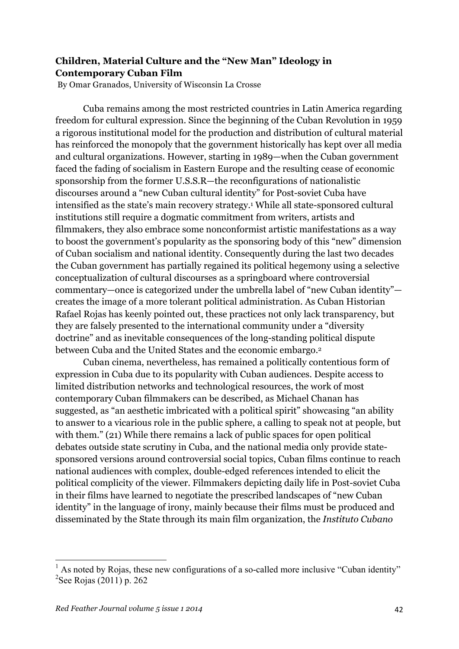## **Children, Material Culture and the "New Man" Ideology in Contemporary Cuban Film**

By Omar Granados, University of Wisconsin La Crosse

Cuba remains among the most restricted countries in Latin America regarding freedom for cultural expression. Since the beginning of the Cuban Revolution in 1959 a rigorous institutional model for the production and distribution of cultural material has reinforced the monopoly that the government historically has kept over all media and cultural organizations. However, starting in 1989—when the Cuban government faced the fading of socialism in Eastern Europe and the resulting cease of economic sponsorship from the former U.S.S.R—the reconfigurations of nationalistic discourses around a "new Cuban cultural identity" for Post-soviet Cuba have intensified as the state's main recovery strategy.1 While all state-sponsored cultural institutions still require a dogmatic commitment from writers, artists and filmmakers, they also embrace some nonconformist artistic manifestations as a way to boost the government's popularity as the sponsoring body of this "new" dimension of Cuban socialism and national identity. Consequently during the last two decades the Cuban government has partially regained its political hegemony using a selective conceptualization of cultural discourses as a springboard where controversial commentary—once is categorized under the umbrella label of "new Cuban identity" creates the image of a more tolerant political administration. As Cuban Historian Rafael Rojas has keenly pointed out, these practices not only lack transparency, but they are falsely presented to the international community under a "diversity doctrine" and as inevitable consequences of the long-standing political dispute between Cuba and the United States and the economic embargo.<sup>2</sup>

Cuban cinema, nevertheless, has remained a politically contentious form of expression in Cuba due to its popularity with Cuban audiences. Despite access to limited distribution networks and technological resources, the work of most contemporary Cuban filmmakers can be described, as Michael Chanan has suggested, as "an aesthetic imbricated with a political spirit" showcasing "an ability to answer to a vicarious role in the public sphere, a calling to speak not at people, but with them." (21) While there remains a lack of public spaces for open political debates outside state scrutiny in Cuba, and the national media only provide statesponsored versions around controversial social topics, Cuban films continue to reach national audiences with complex, double-edged references intended to elicit the political complicity of the viewer. Filmmakers depicting daily life in Post-soviet Cuba in their films have learned to negotiate the prescribed landscapes of "new Cuban identity" in the language of irony, mainly because their films must be produced and disseminated by the State through its main film organization, the *Instituto Cubano* 

 $<sup>1</sup>$  As noted by Roias, these new configurations of a so-called more inclusive "Cuban identity"</sup> 2 See Rojas (2011) p. 262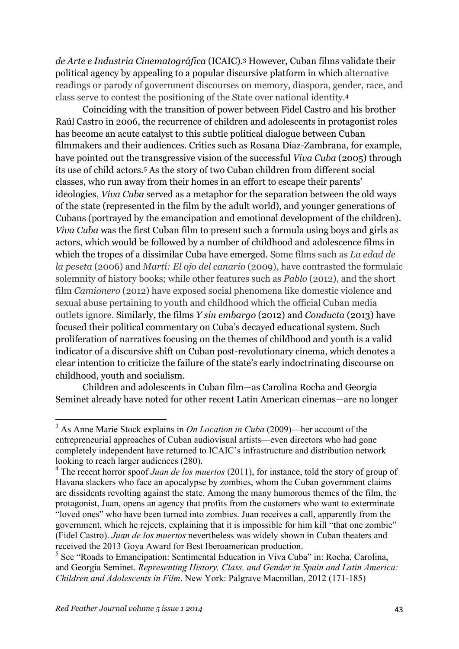*de Arte e Industria Cinematográfica* (ICAIC).3 However, Cuban films validate their political agency by appealing to a popular discursive platform in which alternative readings or parody of government discourses on memory, diaspora, gender, race, and class serve to contest the positioning of the State over national identity.4

Coinciding with the transition of power between Fidel Castro and his brother Raúl Castro in 2006, the recurrence of children and adolescents in protagonist roles has become an acute catalyst to this subtle political dialogue between Cuban filmmakers and their audiences. Critics such as Rosana Díaz-Zambrana, for example, have pointed out the transgressive vision of the successful *Viva Cuba* (2005) through its use of child actors.5 As the story of two Cuban children from different social classes, who run away from their homes in an effort to escape their parents' ideologies, *Viva Cuba* served as a metaphor for the separation between the old ways of the state (represented in the film by the adult world), and younger generations of Cubans (portrayed by the emancipation and emotional development of the children). *Viva Cuba* was the first Cuban film to present such a formula using boys and girls as actors, which would be followed by a number of childhood and adolescence films in which the tropes of a dissimilar Cuba have emerged. Some films such as *La edad de la peseta* (2006) and *Martí: El ojo del canario* (2009), have contrasted the formulaic solemnity of history books; while other features such as *Pablo* (2012), and the short film *Camionero* (2012) have exposed social phenomena like domestic violence and sexual abuse pertaining to youth and childhood which the official Cuban media outlets ignore. Similarly, the films *Y sin embargo* (2012) and *Conducta* (2013) have focused their political commentary on Cuba's decayed educational system. Such proliferation of narratives focusing on the themes of childhood and youth is a valid indicator of a discursive shift on Cuban post-revolutionary cinema, which denotes a clear intention to criticize the failure of the state's early indoctrinating discourse on childhood, youth and socialism.

Children and adolescents in Cuban film—as Carolina Rocha and Georgia Seminet already have noted for other recent Latin American cinemas—are no longer

 <sup>3</sup> As Anne Marie Stock explains in *On Location in Cuba* (2009)—her account of the entrepreneurial approaches of Cuban audiovisual artists—even directors who had gone completely independent have returned to ICAIC's infrastructure and distribution network looking to reach larger audiences (280).

<sup>4</sup> The recent horror spoof *Juan de los muertos* (2011), for instance, told the story of group of Havana slackers who face an apocalypse by zombies, whom the Cuban government claims are dissidents revolting against the state. Among the many humorous themes of the film, the protagonist, Juan, opens an agency that profits from the customers who want to exterminate "loved ones" who have been turned into zombies. Juan receives a call, apparently from the government, which he rejects, explaining that it is impossible for him kill "that one zombie" (Fidel Castro). *Juan de los muertos* nevertheless was widely shown in Cuban theaters and received the 2013 Goya Award for Best Iberoamerican production.

 $<sup>5</sup>$  See "Roads to Emancipation: Sentimental Education in Viva Cuba" in: Rocha, Carolina,</sup> and Georgia Seminet. *Representing History, Class, and Gender in Spain and Latin America: Children and Adolescents in Film*. New York: Palgrave Macmillan, 2012 (171-185)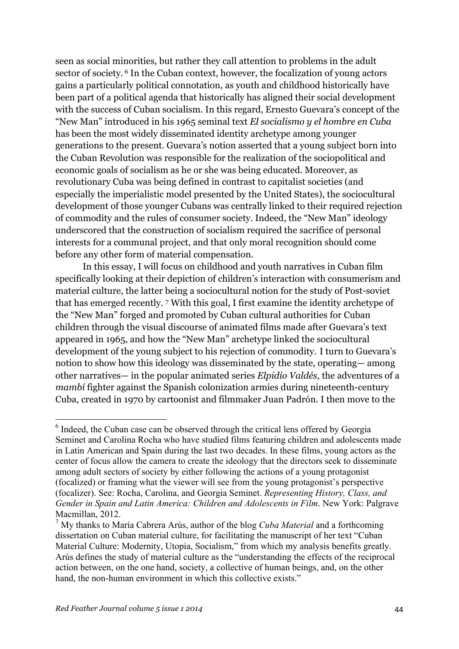seen as social minorities, but rather they call attention to problems in the adult sector of society. <sup>6</sup> In the Cuban context, however, the focalization of young actors gains a particularly political connotation, as youth and childhood historically have been part of a political agenda that historically has aligned their social development with the success of Cuban socialism. In this regard, Ernesto Guevara's concept of the "New Man" introduced in his 1965 seminal text *El socialismo y el hombre en Cuba*  has been the most widely disseminated identity archetype among younger generations to the present. Guevara's notion asserted that a young subject born into the Cuban Revolution was responsible for the realization of the sociopolitical and economic goals of socialism as he or she was being educated. Moreover, as revolutionary Cuba was being defined in contrast to capitalist societies (and especially the imperialistic model presented by the United States), the sociocultural development of those younger Cubans was centrally linked to their required rejection of commodity and the rules of consumer society. Indeed, the "New Man" ideology underscored that the construction of socialism required the sacrifice of personal interests for a communal project, and that only moral recognition should come before any other form of material compensation.

In this essay, I will focus on childhood and youth narratives in Cuban film specifically looking at their depiction of children's interaction with consumerism and material culture, the latter being a sociocultural notion for the study of Post-soviet that has emerged recently. <sup>7</sup> With this goal, I first examine the identity archetype of the "New Man" forged and promoted by Cuban cultural authorities for Cuban children through the visual discourse of animated films made after Guevara's text appeared in 1965, and how the "New Man" archetype linked the sociocultural development of the young subject to his rejection of commodity. I turn to Guevara's notion to show how this ideology was disseminated by the state, operating— among other narratives— in the popular animated series *Elpidio Valdés*, the adventures of a *mambi* fighter against the Spanish colonization armies during nineteenth-century Cuba, created in 1970 by cartoonist and filmmaker Juan Padrón. I then move to the

 $6$  Indeed, the Cuban case can be observed through the critical lens offered by Georgia Seminet and Carolina Rocha who have studied films featuring children and adolescents made in Latin American and Spain during the last two decades. In these films, young actors as the center of focus allow the camera to create the ideology that the directors seek to disseminate among adult sectors of society by either following the actions of a young protagonist (focalized) or framing what the viewer will see from the young protagonist's perspective (focalizer). See: Rocha, Carolina, and Georgia Seminet. *Representing History, Class, and Gender in Spain and Latin America: Children and Adolescents in Film*. New York: Palgrave Macmillan, 2012.

<sup>7</sup> My thanks to María Cabrera Arús, author of the blog *Cuba Material* and a forthcoming dissertation on Cuban material culture, for facilitating the manuscript of her text "Cuban Material Culture: Modernity, Utopia, Socialism," from which my analysis benefits greatly. Arús defines the study of material culture as the "understanding the effects of the reciprocal action between, on the one hand, society, a collective of human beings, and, on the other hand, the non-human environment in which this collective exists."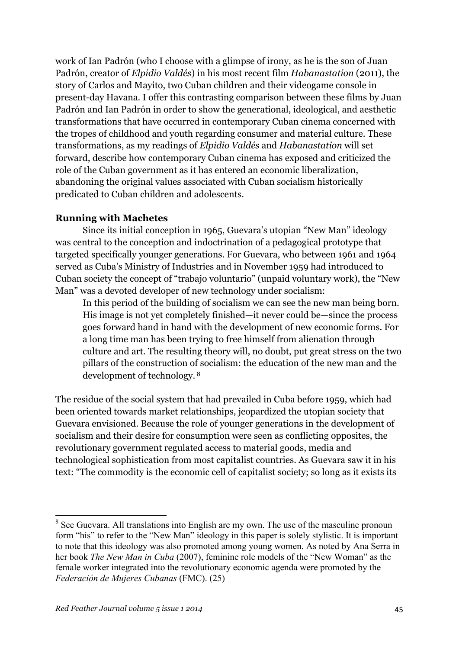work of Ian Padrón (who I choose with a glimpse of irony, as he is the son of Juan Padrón, creator of *Elpidio Valdés*) in his most recent film *Habanastation* (2011), the story of Carlos and Mayito, two Cuban children and their videogame console in present-day Havana. I offer this contrasting comparison between these films by Juan Padrón and Ian Padrón in order to show the generational, ideological, and aesthetic transformations that have occurred in contemporary Cuban cinema concerned with the tropes of childhood and youth regarding consumer and material culture. These transformations, as my readings of *Elpidio Valdés* and *Habanastation* will set forward, describe how contemporary Cuban cinema has exposed and criticized the role of the Cuban government as it has entered an economic liberalization, abandoning the original values associated with Cuban socialism historically predicated to Cuban children and adolescents.

## **Running with Machetes**

Since its initial conception in 1965, Guevara's utopian "New Man" ideology was central to the conception and indoctrination of a pedagogical prototype that targeted specifically younger generations. For Guevara, who between 1961 and 1964 served as Cuba's Ministry of Industries and in November 1959 had introduced to Cuban society the concept of "trabajo voluntario" (unpaid voluntary work), the "New Man" was a devoted developer of new technology under socialism:

In this period of the building of socialism we can see the new man being born. His image is not yet completely finished—it never could be—since the process goes forward hand in hand with the development of new economic forms. For a long time man has been trying to free himself from alienation through culture and art. The resulting theory will, no doubt, put great stress on the two pillars of the construction of socialism: the education of the new man and the development of technology. <sup>8</sup>

The residue of the social system that had prevailed in Cuba before 1959, which had been oriented towards market relationships, jeopardized the utopian society that Guevara envisioned. Because the role of younger generations in the development of socialism and their desire for consumption were seen as conflicting opposites, the revolutionary government regulated access to material goods, media and technological sophistication from most capitalist countries. As Guevara saw it in his text: "The commodity is the economic cell of capitalist society; so long as it exists its

<sup>&</sup>lt;sup>8</sup> See Guevara. All translations into English are my own. The use of the masculine pronoun form "his" to refer to the "New Man" ideology in this paper is solely stylistic. It is important to note that this ideology was also promoted among young women. As noted by Ana Serra in her book *The New Man in Cuba* (2007), feminine role models of the "New Woman" as the female worker integrated into the revolutionary economic agenda were promoted by the *Federación de Mujeres Cubanas* (FMC). (25)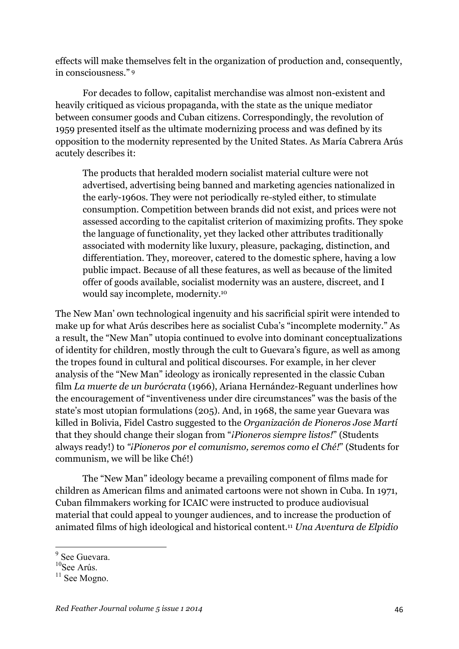effects will make themselves felt in the organization of production and, consequently, in consciousness." <sup>9</sup>

For decades to follow, capitalist merchandise was almost non-existent and heavily critiqued as vicious propaganda, with the state as the unique mediator between consumer goods and Cuban citizens. Correspondingly, the revolution of 1959 presented itself as the ultimate modernizing process and was defined by its opposition to the modernity represented by the United States. As María Cabrera Arús acutely describes it:

The products that heralded modern socialist material culture were not advertised, advertising being banned and marketing agencies nationalized in the early-1960s. They were not periodically re-styled either, to stimulate consumption. Competition between brands did not exist, and prices were not assessed according to the capitalist criterion of maximizing profits. They spoke the language of functionality, yet they lacked other attributes traditionally associated with modernity like luxury, pleasure, packaging, distinction, and differentiation. They, moreover, catered to the domestic sphere, having a low public impact. Because of all these features, as well as because of the limited offer of goods available, socialist modernity was an austere, discreet, and I would say incomplete, modernity.10

The New Man' own technological ingenuity and his sacrificial spirit were intended to make up for what Arús describes here as socialist Cuba's "incomplete modernity." As a result, the "New Man" utopia continued to evolve into dominant conceptualizations of identity for children, mostly through the cult to Guevara's figure, as well as among the tropes found in cultural and political discourses. For example, in her clever analysis of the "New Man" ideology as ironically represented in the classic Cuban film *La muerte de un burócrata* (1966), Ariana Hernández-Reguant underlines how the encouragement of "inventiveness under dire circumstances" was the basis of the state's most utopian formulations (205). And, in 1968, the same year Guevara was killed in Bolivia, Fidel Castro suggested to the *Organización de Pioneros Jose Martí* that they should change their slogan from "*¡Pioneros siempre listos!*" (Students always ready!) to *"¡Pioneros por el comunismo, seremos como el Ché!*" (Students for communism, we will be like Ché!)

The "New Man" ideology became a prevailing component of films made for children as American films and animated cartoons were not shown in Cuba. In 1971, Cuban filmmakers working for ICAIC were instructed to produce audiovisual material that could appeal to younger audiences, and to increase the production of animated films of high ideological and historical content.11 *Una Aventura de Elpidio* 

<sup>&</sup>lt;sup>9</sup> See Guevara.

<sup>&</sup>lt;sup>10</sup>See Arús.

<sup>&</sup>lt;sup>11</sup> See Mogno.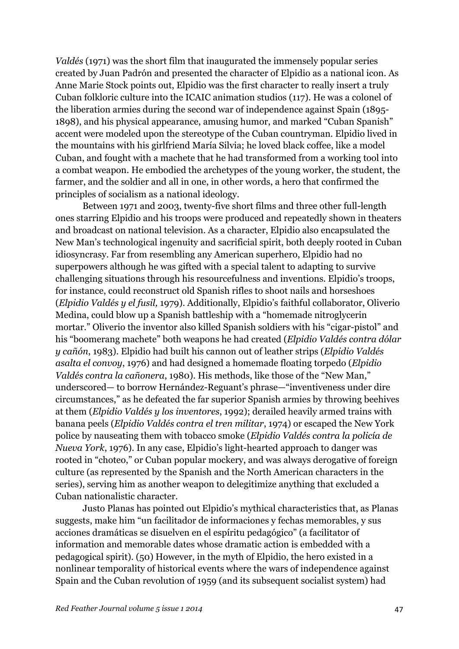*Valdés* (1971) was the short film that inaugurated the immensely popular series created by Juan Padrón and presented the character of Elpidio as a national icon. As Anne Marie Stock points out, Elpidio was the first character to really insert a truly Cuban folkloric culture into the ICAIC animation studios (117). He was a colonel of the liberation armies during the second war of independence against Spain (1895- 1898), and his physical appearance, amusing humor, and marked "Cuban Spanish" accent were modeled upon the stereotype of the Cuban countryman. Elpidio lived in the mountains with his girlfriend María Silvia; he loved black coffee, like a model Cuban, and fought with a machete that he had transformed from a working tool into a combat weapon. He embodied the archetypes of the young worker, the student, the farmer, and the soldier and all in one, in other words, a hero that confirmed the principles of socialism as a national ideology.

Between 1971 and 2003, twenty-five short films and three other full-length ones starring Elpidio and his troops were produced and repeatedly shown in theaters and broadcast on national television. As a character, Elpidio also encapsulated the New Man's technological ingenuity and sacrificial spirit, both deeply rooted in Cuban idiosyncrasy. Far from resembling any American superhero, Elpidio had no superpowers although he was gifted with a special talent to adapting to survive challenging situations through his resourcefulness and inventions. Elpidio's troops, for instance, could reconstruct old Spanish rifles to shoot nails and horseshoes (*Elpidio Valdés y el fusil,* 1979). Additionally, Elpidio's faithful collaborator, Oliverio Medina, could blow up a Spanish battleship with a "homemade nitroglycerin mortar." Oliverio the inventor also killed Spanish soldiers with his "cigar-pistol" and his "boomerang machete" both weapons he had created (*Elpidio Valdés contra dólar y cañón*, 1983). Elpidio had built his cannon out of leather strips (*Elpidio Valdés asalta el convoy*, 1976) and had designed a homemade floating torpedo (*Elpidio Valdés contra la cañonera*, 1980). His methods, like those of the "New Man," underscored— to borrow Hernández-Reguant's phrase—"inventiveness under dire circumstances," as he defeated the far superior Spanish armies by throwing beehives at them (*Elpidio Valdés y los inventores*, 1992); derailed heavily armed trains with banana peels (*Elpidio Valdés contra el tren militar*, 1974) or escaped the New York police by nauseating them with tobacco smoke (*Elpidio Valdés contra la policía de Nueva York*, 1976). In any case, Elpidio's light-hearted approach to danger was rooted in "choteo," or Cuban popular mockery, and was always derogative of foreign culture (as represented by the Spanish and the North American characters in the series), serving him as another weapon to delegitimize anything that excluded a Cuban nationalistic character.

Justo Planas has pointed out Elpidio's mythical characteristics that, as Planas suggests, make him "un facilitador de informaciones y fechas memorables, y sus acciones dramáticas se disuelven en el espíritu pedagógico" (a facilitator of information and memorable dates whose dramatic action is embedded with a pedagogical spirit). (50) However, in the myth of Elpidio, the hero existed in a nonlinear temporality of historical events where the wars of independence against Spain and the Cuban revolution of 1959 (and its subsequent socialist system) had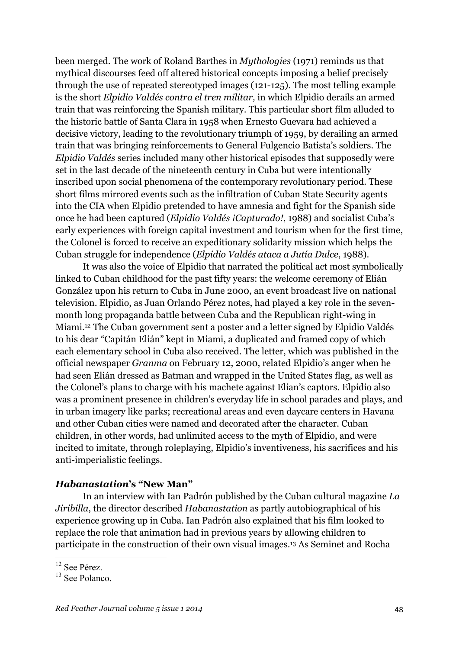been merged. The work of Roland Barthes in *Mythologies* (1971) reminds us that mythical discourses feed off altered historical concepts imposing a belief precisely through the use of repeated stereotyped images (121-125). The most telling example is the short *Elpidio Valdés contra el tren militar,* in which Elpidio derails an armed train that was reinforcing the Spanish military. This particular short film alluded to the historic battle of Santa Clara in 1958 when Ernesto Guevara had achieved a decisive victory, leading to the revolutionary triumph of 1959, by derailing an armed train that was bringing reinforcements to General Fulgencio Batista's soldiers. The *Elpidio Valdés* series included many other historical episodes that supposedly were set in the last decade of the nineteenth century in Cuba but were intentionally inscribed upon social phenomena of the contemporary revolutionary period. These short films mirrored events such as the infiltration of Cuban State Security agents into the CIA when Elpidio pretended to have amnesia and fight for the Spanish side once he had been captured (*Elpidio Valdés ¡Capturado!*, 1988) and socialist Cuba's early experiences with foreign capital investment and tourism when for the first time, the Colonel is forced to receive an expeditionary solidarity mission which helps the Cuban struggle for independence (*Elpidio Valdés ataca a Jutía Dulce*, 1988).

It was also the voice of Elpidio that narrated the political act most symbolically linked to Cuban childhood for the past fifty years: the welcome ceremony of Elián González upon his return to Cuba in June 2000, an event broadcast live on national television. Elpidio, as Juan Orlando Pérez notes, had played a key role in the sevenmonth long propaganda battle between Cuba and the Republican right-wing in Miami.12 The Cuban government sent a poster and a letter signed by Elpidio Valdés to his dear "Capitán Elián" kept in Miami, a duplicated and framed copy of which each elementary school in Cuba also received. The letter, which was published in the official newspaper *Granma* on February 12, 2000, related Elpidio's anger when he had seen Elián dressed as Batman and wrapped in the United States flag, as well as the Colonel's plans to charge with his machete against Elian's captors. Elpidio also was a prominent presence in children's everyday life in school parades and plays, and in urban imagery like parks; recreational areas and even daycare centers in Havana and other Cuban cities were named and decorated after the character. Cuban children, in other words, had unlimited access to the myth of Elpidio, and were incited to imitate, through roleplaying, Elpidio's inventiveness, his sacrifices and his anti-imperialistic feelings.

## *Habanastation***'s "New Man"**

In an interview with Ian Padrón published by the Cuban cultural magazine *La Jiribilla*, the director described *Habanastation* as partly autobiographical of his experience growing up in Cuba. Ian Padrón also explained that his film looked to replace the role that animation had in previous years by allowing children to participate in the construction of their own visual images.13 As Seminet and Rocha

<sup>&</sup>lt;sup>12</sup> See Pérez.

<sup>&</sup>lt;sup>13</sup> See Polanco.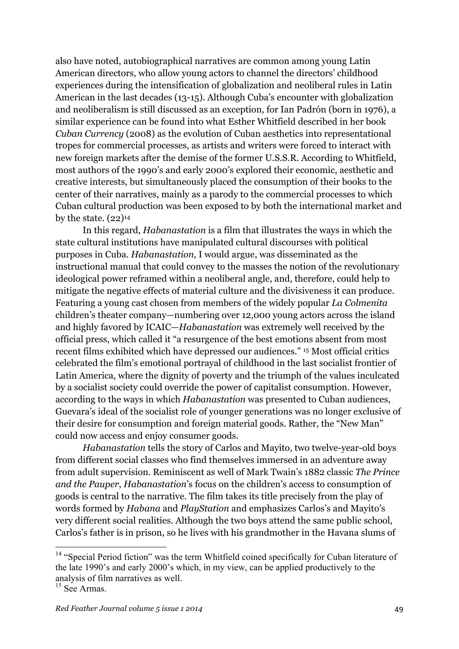also have noted, autobiographical narratives are common among young Latin American directors, who allow young actors to channel the directors' childhood experiences during the intensification of globalization and neoliberal rules in Latin American in the last decades (13-15). Although Cuba's encounter with globalization and neoliberalism is still discussed as an exception, for Ian Padrón (born in 1976), a similar experience can be found into what Esther Whitfield described in her book *Cuban Currency* (2008) as the evolution of Cuban aesthetics into representational tropes for commercial processes, as artists and writers were forced to interact with new foreign markets after the demise of the former U.S.S.R. According to Whitfield, most authors of the 1990's and early 2000's explored their economic, aesthetic and creative interests, but simultaneously placed the consumption of their books to the center of their narratives, mainly as a parody to the commercial processes to which Cuban cultural production was been exposed to by both the international market and by the state.  $(22)^{14}$ 

In this regard, *Habanastation* is a film that illustrates the ways in which the state cultural institutions have manipulated cultural discourses with political purposes in Cuba. *Habanastation*, I would argue, was disseminated as the instructional manual that could convey to the masses the notion of the revolutionary ideological power reframed within a neoliberal angle, and, therefore, could help to mitigate the negative effects of material culture and the divisiveness it can produce. Featuring a young cast chosen from members of the widely popular *La Colmenita* children's theater company—numbering over 12,000 young actors across the island and highly favored by ICAIC—*Habanastation* was extremely well received by the official press, which called it "a resurgence of the best emotions absent from most recent films exhibited which have depressed our audiences." <sup>15</sup> Most official critics celebrated the film's emotional portrayal of childhood in the last socialist frontier of Latin America, where the dignity of poverty and the triumph of the values inculcated by a socialist society could override the power of capitalist consumption. However, according to the ways in which *Habanastation* was presented to Cuban audiences, Guevara's ideal of the socialist role of younger generations was no longer exclusive of their desire for consumption and foreign material goods. Rather, the "New Man" could now access and enjoy consumer goods.

*Habanastation* tells the story of Carlos and Mayito, two twelve-year-old boys from different social classes who find themselves immersed in an adventure away from adult supervision. Reminiscent as well of Mark Twain's 1882 classic *The Prince and the Pauper*, *Habanastation*'s focus on the children's access to consumption of goods is central to the narrative. The film takes its title precisely from the play of words formed by *Habana* and *PlayStation* and emphasizes Carlos's and Mayito's very different social realities. Although the two boys attend the same public school, Carlos's father is in prison, so he lives with his grandmother in the Havana slums of

<sup>&</sup>lt;sup>14</sup> "Special Period fiction" was the term Whitfield coined specifically for Cuban literature of the late 1990's and early 2000's which, in my view, can be applied productively to the analysis of film narratives as well.

 $15$  See Armas.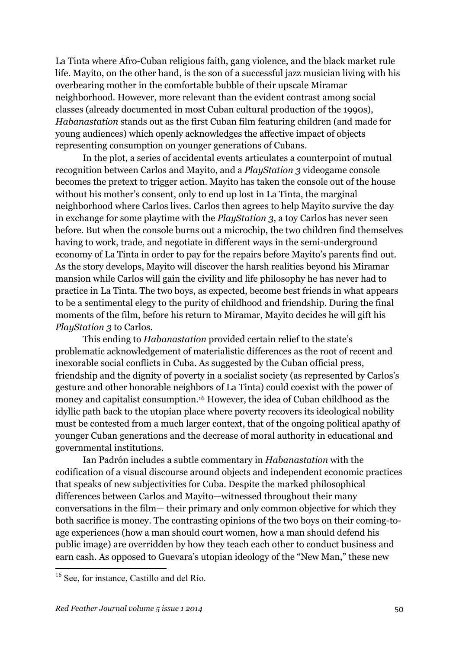La Tinta where Afro-Cuban religious faith, gang violence, and the black market rule life. Mayito, on the other hand, is the son of a successful jazz musician living with his overbearing mother in the comfortable bubble of their upscale Miramar neighborhood. However, more relevant than the evident contrast among social classes (already documented in most Cuban cultural production of the 1990s), *Habanastation* stands out as the first Cuban film featuring children (and made for young audiences) which openly acknowledges the affective impact of objects representing consumption on younger generations of Cubans.

In the plot, a series of accidental events articulates a counterpoint of mutual recognition between Carlos and Mayito, and a *PlayStation 3* videogame console becomes the pretext to trigger action. Mayito has taken the console out of the house without his mother's consent, only to end up lost in La Tinta, the marginal neighborhood where Carlos lives. Carlos then agrees to help Mayito survive the day in exchange for some playtime with the *PlayStation 3*, a toy Carlos has never seen before. But when the console burns out a microchip, the two children find themselves having to work, trade, and negotiate in different ways in the semi-underground economy of La Tinta in order to pay for the repairs before Mayito's parents find out. As the story develops, Mayito will discover the harsh realities beyond his Miramar mansion while Carlos will gain the civility and life philosophy he has never had to practice in La Tinta. The two boys, as expected, become best friends in what appears to be a sentimental elegy to the purity of childhood and friendship. During the final moments of the film, before his return to Miramar, Mayito decides he will gift his *PlayStation 3* to Carlos.

This ending to *Habanastation* provided certain relief to the state's problematic acknowledgement of materialistic differences as the root of recent and inexorable social conflicts in Cuba. As suggested by the Cuban official press, friendship and the dignity of poverty in a socialist society (as represented by Carlos's gesture and other honorable neighbors of La Tinta) could coexist with the power of money and capitalist consumption.16 However, the idea of Cuban childhood as the idyllic path back to the utopian place where poverty recovers its ideological nobility must be contested from a much larger context, that of the ongoing political apathy of younger Cuban generations and the decrease of moral authority in educational and governmental institutions.

Ian Padrón includes a subtle commentary in *Habanastation* with the codification of a visual discourse around objects and independent economic practices that speaks of new subjectivities for Cuba. Despite the marked philosophical differences between Carlos and Mayito—witnessed throughout their many conversations in the film— their primary and only common objective for which they both sacrifice is money. The contrasting opinions of the two boys on their coming-toage experiences (how a man should court women, how a man should defend his public image) are overridden by how they teach each other to conduct business and earn cash. As opposed to Guevara's utopian ideology of the "New Man," these new

<sup>&</sup>lt;sup>16</sup> See, for instance, Castillo and del Río.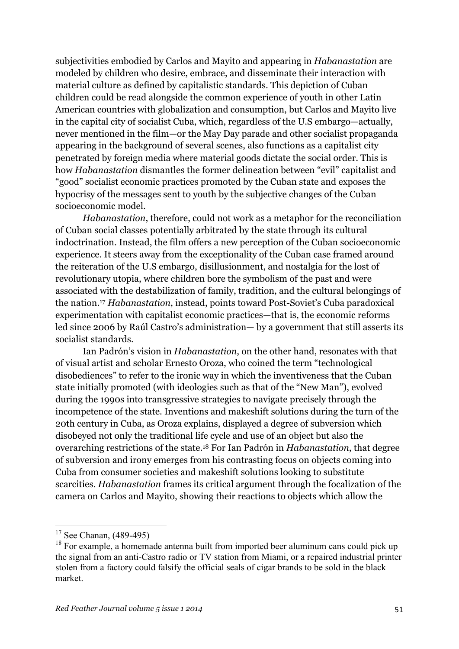subjectivities embodied by Carlos and Mayito and appearing in *Habanastation* are modeled by children who desire, embrace, and disseminate their interaction with material culture as defined by capitalistic standards. This depiction of Cuban children could be read alongside the common experience of youth in other Latin American countries with globalization and consumption, but Carlos and Mayito live in the capital city of socialist Cuba, which, regardless of the U.S embargo—actually, never mentioned in the film—or the May Day parade and other socialist propaganda appearing in the background of several scenes, also functions as a capitalist city penetrated by foreign media where material goods dictate the social order. This is how *Habanastation* dismantles the former delineation between "evil" capitalist and "good" socialist economic practices promoted by the Cuban state and exposes the hypocrisy of the messages sent to youth by the subjective changes of the Cuban socioeconomic model.

*Habanastation*, therefore, could not work as a metaphor for the reconciliation of Cuban social classes potentially arbitrated by the state through its cultural indoctrination. Instead, the film offers a new perception of the Cuban socioeconomic experience. It steers away from the exceptionality of the Cuban case framed around the reiteration of the U.S embargo, disillusionment, and nostalgia for the lost of revolutionary utopia, where children bore the symbolism of the past and were associated with the destabilization of family, tradition, and the cultural belongings of the nation.17 *Habanastation*, instead, points toward Post-Soviet's Cuba paradoxical experimentation with capitalist economic practices—that is, the economic reforms led since 2006 by Raúl Castro's administration— by a government that still asserts its socialist standards.

Ian Padrón's vision in *Habanastation*, on the other hand, resonates with that of visual artist and scholar Ernesto Oroza, who coined the term "technological disobediences" to refer to the ironic way in which the inventiveness that the Cuban state initially promoted (with ideologies such as that of the "New Man"), evolved during the 1990s into transgressive strategies to navigate precisely through the incompetence of the state. Inventions and makeshift solutions during the turn of the 20th century in Cuba, as Oroza explains, displayed a degree of subversion which disobeyed not only the traditional life cycle and use of an object but also the overarching restrictions of the state.18 For Ian Padrón in *Habanastation*, that degree of subversion and irony emerges from his contrasting focus on objects coming into Cuba from consumer societies and makeshift solutions looking to substitute scarcities. *Habanastation* frames its critical argument through the focalization of the camera on Carlos and Mayito, showing their reactions to objects which allow the

 $17$  See Chanan, (489-495)

<sup>&</sup>lt;sup>18</sup> For example, a homemade antenna built from imported beer aluminum cans could pick up the signal from an anti-Castro radio or TV station from Miami, or a repaired industrial printer stolen from a factory could falsify the official seals of cigar brands to be sold in the black market.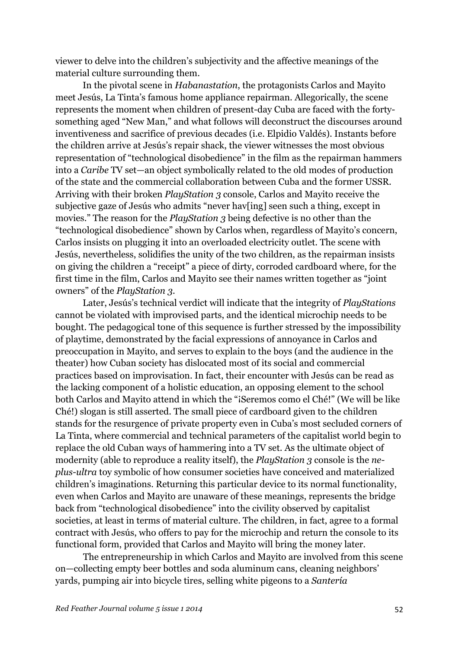viewer to delve into the children's subjectivity and the affective meanings of the material culture surrounding them.

In the pivotal scene in *Habanastation*, the protagonists Carlos and Mayito meet Jesús, La Tinta's famous home appliance repairman. Allegorically, the scene represents the moment when children of present-day Cuba are faced with the fortysomething aged "New Man," and what follows will deconstruct the discourses around inventiveness and sacrifice of previous decades (i.e. Elpidio Valdés). Instants before the children arrive at Jesús's repair shack, the viewer witnesses the most obvious representation of "technological disobedience" in the film as the repairman hammers into a *Caribe* TV set—an object symbolically related to the old modes of production of the state and the commercial collaboration between Cuba and the former USSR. Arriving with their broken *PlayStation 3* console, Carlos and Mayito receive the subjective gaze of Jesús who admits "never hav[ing] seen such a thing, except in movies." The reason for the *PlayStation 3* being defective is no other than the "technological disobedience" shown by Carlos when, regardless of Mayito's concern, Carlos insists on plugging it into an overloaded electricity outlet. The scene with Jesús, nevertheless, solidifies the unity of the two children, as the repairman insists on giving the children a "receipt" a piece of dirty, corroded cardboard where, for the first time in the film, Carlos and Mayito see their names written together as "joint owners" of the *PlayStation 3*.

Later, Jesús's technical verdict will indicate that the integrity of *PlayStations*  cannot be violated with improvised parts, and the identical microchip needs to be bought. The pedagogical tone of this sequence is further stressed by the impossibility of playtime, demonstrated by the facial expressions of annoyance in Carlos and preoccupation in Mayito, and serves to explain to the boys (and the audience in the theater) how Cuban society has dislocated most of its social and commercial practices based on improvisation. In fact, their encounter with Jesús can be read as the lacking component of a holistic education, an opposing element to the school both Carlos and Mayito attend in which the "¡Seremos como el Ché!" (We will be like Ché!) slogan is still asserted. The small piece of cardboard given to the children stands for the resurgence of private property even in Cuba's most secluded corners of La Tinta, where commercial and technical parameters of the capitalist world begin to replace the old Cuban ways of hammering into a TV set. As the ultimate object of modernity (able to reproduce a reality itself), the *PlayStation 3* console is the *neplus-ultra* toy symbolic of how consumer societies have conceived and materialized children's imaginations. Returning this particular device to its normal functionality, even when Carlos and Mayito are unaware of these meanings, represents the bridge back from "technological disobedience" into the civility observed by capitalist societies, at least in terms of material culture. The children, in fact, agree to a formal contract with Jesús, who offers to pay for the microchip and return the console to its functional form, provided that Carlos and Mayito will bring the money later.

The entrepreneurship in which Carlos and Mayito are involved from this scene on—collecting empty beer bottles and soda aluminum cans, cleaning neighbors' yards, pumping air into bicycle tires, selling white pigeons to a *Santería*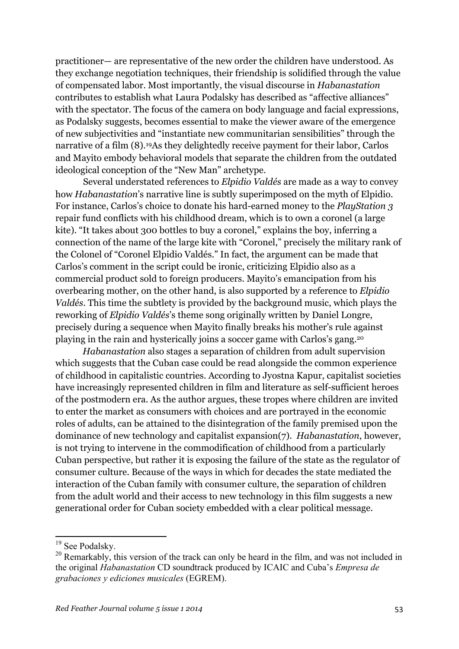practitioner— are representative of the new order the children have understood. As they exchange negotiation techniques, their friendship is solidified through the value of compensated labor. Most importantly, the visual discourse in *Habanastation*  contributes to establish what Laura Podalsky has described as "affective alliances" with the spectator. The focus of the camera on body language and facial expressions, as Podalsky suggests, becomes essential to make the viewer aware of the emergence of new subjectivities and "instantiate new communitarian sensibilities" through the narrative of a film (8).19As they delightedly receive payment for their labor, Carlos and Mayito embody behavioral models that separate the children from the outdated ideological conception of the "New Man" archetype.

Several understated references to *Elpidio Valdés* are made as a way to convey how *Habanastation*'s narrative line is subtly superimposed on the myth of Elpidio. For instance, Carlos's choice to donate his hard-earned money to the *PlayStation 3* repair fund conflicts with his childhood dream, which is to own a coronel (a large kite). "It takes about 300 bottles to buy a coronel," explains the boy, inferring a connection of the name of the large kite with "Coronel," precisely the military rank of the Colonel of "Coronel Elpidio Valdés." In fact, the argument can be made that Carlos's comment in the script could be ironic, criticizing Elpidio also as a commercial product sold to foreign producers. Mayito's emancipation from his overbearing mother, on the other hand, is also supported by a reference to *Elpidio Valdés*. This time the subtlety is provided by the background music, which plays the reworking of *Elpidio Valdés*'s theme song originally written by Daniel Longre, precisely during a sequence when Mayito finally breaks his mother's rule against playing in the rain and hysterically joins a soccer game with Carlos's gang.20

*Habanastation* also stages a separation of children from adult supervision which suggests that the Cuban case could be read alongside the common experience of childhood in capitalistic countries. According to Jyostna Kapur, capitalist societies have increasingly represented children in film and literature as self-sufficient heroes of the postmodern era. As the author argues, these tropes where children are invited to enter the market as consumers with choices and are portrayed in the economic roles of adults, can be attained to the disintegration of the family premised upon the dominance of new technology and capitalist expansion(7). *Habanastation*, however, is not trying to intervene in the commodification of childhood from a particularly Cuban perspective, but rather it is exposing the failure of the state as the regulator of consumer culture. Because of the ways in which for decades the state mediated the interaction of the Cuban family with consumer culture, the separation of children from the adult world and their access to new technology in this film suggests a new generational order for Cuban society embedded with a clear political message.

<sup>&</sup>lt;sup>19</sup> See Podalsky.

<sup>&</sup>lt;sup>20</sup> Remarkably, this version of the track can only be heard in the film, and was not included in the original *Habanastation* CD soundtrack produced by ICAIC and Cuba's *Empresa de grabaciones y ediciones musicales* (EGREM).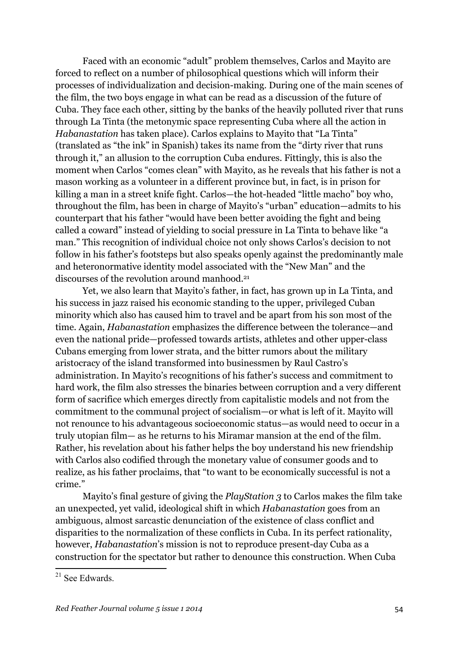Faced with an economic "adult" problem themselves, Carlos and Mayito are forced to reflect on a number of philosophical questions which will inform their processes of individualization and decision-making. During one of the main scenes of the film, the two boys engage in what can be read as a discussion of the future of Cuba. They face each other, sitting by the banks of the heavily polluted river that runs through La Tinta (the metonymic space representing Cuba where all the action in *Habanastation* has taken place). Carlos explains to Mayito that "La Tinta" (translated as "the ink" in Spanish) takes its name from the "dirty river that runs through it," an allusion to the corruption Cuba endures. Fittingly, this is also the moment when Carlos "comes clean" with Mayito, as he reveals that his father is not a mason working as a volunteer in a different province but, in fact, is in prison for killing a man in a street knife fight. Carlos—the hot-headed "little macho" boy who, throughout the film, has been in charge of Mayito's "urban" education—admits to his counterpart that his father "would have been better avoiding the fight and being called a coward" instead of yielding to social pressure in La Tinta to behave like "a man." This recognition of individual choice not only shows Carlos's decision to not follow in his father's footsteps but also speaks openly against the predominantly male and heteronormative identity model associated with the "New Man" and the discourses of the revolution around manhood.21

Yet, we also learn that Mayito's father, in fact, has grown up in La Tinta, and his success in jazz raised his economic standing to the upper, privileged Cuban minority which also has caused him to travel and be apart from his son most of the time. Again, *Habanastation* emphasizes the difference between the tolerance—and even the national pride—professed towards artists, athletes and other upper-class Cubans emerging from lower strata, and the bitter rumors about the military aristocracy of the island transformed into businessmen by Raul Castro's administration. In Mayito's recognitions of his father's success and commitment to hard work, the film also stresses the binaries between corruption and a very different form of sacrifice which emerges directly from capitalistic models and not from the commitment to the communal project of socialism—or what is left of it. Mayito will not renounce to his advantageous socioeconomic status—as would need to occur in a truly utopian film— as he returns to his Miramar mansion at the end of the film. Rather, his revelation about his father helps the boy understand his new friendship with Carlos also codified through the monetary value of consumer goods and to realize, as his father proclaims, that "to want to be economically successful is not a crime."

Mayito's final gesture of giving the *PlayStation 3* to Carlos makes the film take an unexpected, yet valid, ideological shift in which *Habanastation* goes from an ambiguous, almost sarcastic denunciation of the existence of class conflict and disparities to the normalization of these conflicts in Cuba. In its perfect rationality, however, *Habanastation*'s mission is not to reproduce present-day Cuba as a construction for the spectator but rather to denounce this construction. When Cuba

 <sup>21</sup> See Edwards.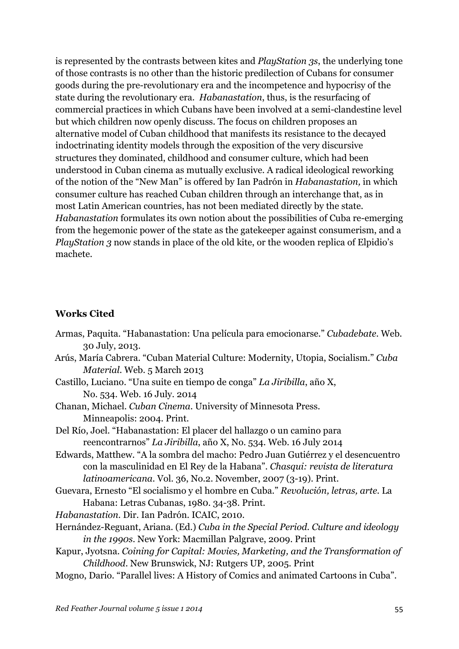is represented by the contrasts between kites and *PlayStation 3s*, the underlying tone of those contrasts is no other than the historic predilection of Cubans for consumer goods during the pre-revolutionary era and the incompetence and hypocrisy of the state during the revolutionary era. *Habanastation*, thus, is the resurfacing of commercial practices in which Cubans have been involved at a semi-clandestine level but which children now openly discuss. The focus on children proposes an alternative model of Cuban childhood that manifests its resistance to the decayed indoctrinating identity models through the exposition of the very discursive structures they dominated, childhood and consumer culture, which had been understood in Cuban cinema as mutually exclusive. A radical ideological reworking of the notion of the "New Man" is offered by Ian Padrón in *Habanastation,* in which consumer culture has reached Cuban children through an interchange that, as in most Latin American countries, has not been mediated directly by the state. *Habanastation* formulates its own notion about the possibilities of Cuba re-emerging from the hegemonic power of the state as the gatekeeper against consumerism, and a *PlayStation 3* now stands in place of the old kite, or the wooden replica of Elpidio's machete.

## **Works Cited**

| Armas, Paquita. "Habanastation: Una película para emocionarse." Cubadebate. Web.   |
|------------------------------------------------------------------------------------|
| 30 July, 2013.                                                                     |
| Arús, María Cabrera. "Cuban Material Culture: Modernity, Utopia, Socialism." Cuba  |
| <i>Material.</i> Web. 5 March 2013                                                 |
| Castillo, Luciano. "Una suite en tiempo de conga" La Jiribilla, año X,             |
| No. 534. Web. 16 July. 2014                                                        |
| Chanan, Michael. Cuban Cinema. University of Minnesota Press.                      |
| Minneapolis: 2004. Print.                                                          |
| Del Río, Joel. "Habanastation: El placer del hallazgo o un camino para             |
| reencontrarnos" La Jiribilla, año X, No. 534. Web. 16 July 2014                    |
| Edwards, Matthew. "A la sombra del macho: Pedro Juan Gutiérrez y el desencuentro   |
| con la masculinidad en El Rey de la Habana". Chasqui: revista de literatura        |
| latinoamericana. Vol. 36, No.2. November, 2007 (3-19). Print.                      |
| Guevara, Ernesto "El socialismo y el hombre en Cuba." Revolución, letras, arte. La |
| Habana: Letras Cubanas, 1980. 34-38. Print.                                        |
| Habanastation. Dir. Ian Padrón. ICAIC, 2010.                                       |
| Hernández-Reguant, Ariana. (Ed.) Cuba in the Special Period. Culture and ideology  |
| <i>in the 1990s.</i> New York: Macmillan Palgrave, 2009. Print                     |
| Kapur, Jyotsna. Coining for Capital: Movies, Marketing, and the Transformation of  |
| Childhood. New Brunswick, NJ: Rutgers UP, 2005. Print                              |
| Mogno, Dario. "Parallel lives: A History of Comics and animated Cartoons in Cuba". |
|                                                                                    |